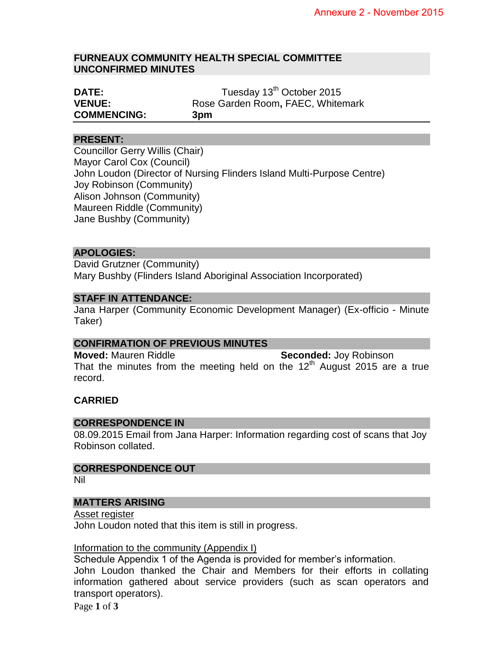#### **FURNEAUX COMMUNITY HEALTH SPECIAL COMMITTEE UNCONFIRMED MINUTES**

| <b>DATE:</b>       | Tuesday 13 <sup>th</sup> October 2015 |
|--------------------|---------------------------------------|
| <b>VENUE:</b>      | Rose Garden Room, FAEC, Whitemark     |
| <b>COMMENCING:</b> | 3pm                                   |

#### **PRESENT:**

Councillor Gerry Willis (Chair) Mayor Carol Cox (Council) John Loudon (Director of Nursing Flinders Island Multi-Purpose Centre) Joy Robinson (Community) Alison Johnson (Community) Maureen Riddle (Community) Jane Bushby (Community)

#### **APOLOGIES:**

David Grutzner (Community) Mary Bushby (Flinders Island Aboriginal Association Incorporated)

## **STAFF IN ATTENDANCE:**

Jana Harper (Community Economic Development Manager) (Ex-officio - Minute Taker)

#### **CONFIRMATION OF PREVIOUS MINUTES**

**Moved:** Mauren Riddle **Seconded:** Joy Robinson That the minutes from the meeting held on the  $12<sup>th</sup>$  August 2015 are a true record.

#### **CARRIED**

#### **CORRESPONDENCE IN**

08.09.2015 Email from Jana Harper: Information regarding cost of scans that Joy Robinson collated.

# **CORRESPONDENCE OUT**

Nil

#### **MATTERS ARISING**

Asset register John Loudon noted that this item is still in progress.

#### Information to the community (Appendix I)

Schedule Appendix 1 of the Agenda is provided for member's information.

John Loudon thanked the Chair and Members for their efforts in collating information gathered about service providers (such as scan operators and transport operators).

Page **1** of **3**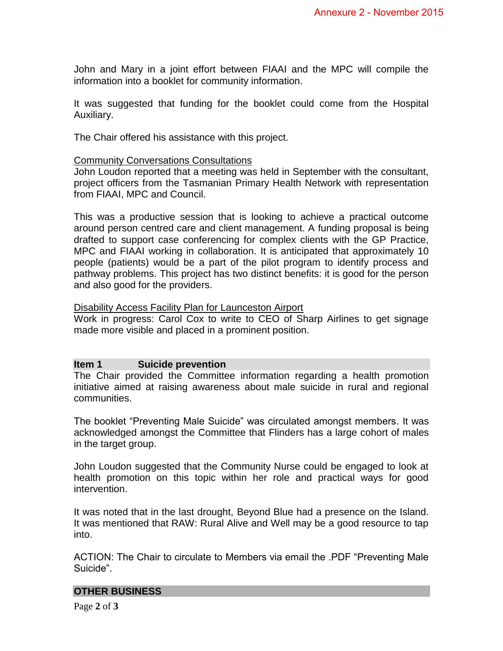John and Mary in a joint effort between FIAAI and the MPC will compile the information into a booklet for community information.

It was suggested that funding for the booklet could come from the Hospital Auxiliary.

The Chair offered his assistance with this project.

## Community Conversations Consultations

John Loudon reported that a meeting was held in September with the consultant, project officers from the Tasmanian Primary Health Network with representation from FIAAI, MPC and Council.

This was a productive session that is looking to achieve a practical outcome around person centred care and client management. A funding proposal is being drafted to support case conferencing for complex clients with the GP Practice, MPC and FIAAI working in collaboration. It is anticipated that approximately 10 people (patients) would be a part of the pilot program to identify process and pathway problems. This project has two distinct benefits: it is good for the person and also good for the providers.

## Disability Access Facility Plan for Launceston Airport

Work in progress: Carol Cox to write to CEO of Sharp Airlines to get signage made more visible and placed in a prominent position.

# **Item 1 Suicide prevention**

The Chair provided the Committee information regarding a health promotion initiative aimed at raising awareness about male suicide in rural and regional communities.

The booklet "Preventing Male Suicide" was circulated amongst members. It was acknowledged amongst the Committee that Flinders has a large cohort of males in the target group.

John Loudon suggested that the Community Nurse could be engaged to look at health promotion on this topic within her role and practical ways for good intervention.

It was noted that in the last drought, Beyond Blue had a presence on the Island. It was mentioned that RAW: Rural Alive and Well may be a good resource to tap into.

ACTION: The Chair to circulate to Members via email the .PDF "Preventing Male Suicide".

#### **OTHER BUSINESS**

Page **2** of **3**